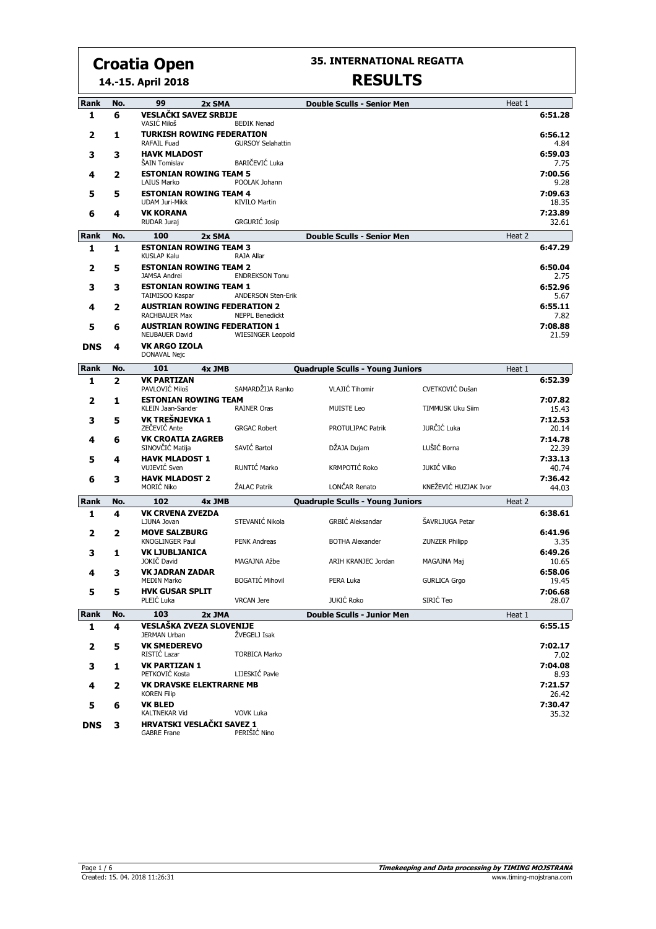**14.-15. April 2018**

#### **35. INTERNATIONAL REGATTA**

| Rank       | No. | 99<br>2x SMA                                             |                           | <b>Double Sculls - Senior Men</b>       |                       | Heat 1 |                  |
|------------|-----|----------------------------------------------------------|---------------------------|-----------------------------------------|-----------------------|--------|------------------|
| 1          | 6   | <b>VESLAČKI SAVEZ SRBIJE</b><br>VASIĆ Miloš              | <b>BEĐIK Nenad</b>        |                                         |                       |        | 6:51.28          |
| 2          | 1   | <b>TURKISH ROWING FEDERATION</b><br>RAFAIL Fuad          | <b>GURSOY Selahattin</b>  |                                         |                       |        | 6:56.12<br>4.84  |
| з          | 3   | <b>HAVK MLADOST</b><br>ŠAIN Tomislav                     | BARIČEVIĆ Luka            |                                         |                       |        | 6:59.03<br>7.75  |
| 4          | 2   | <b>ESTONIAN ROWING TEAM 5</b><br><b>LAIUS Marko</b>      | POOLAK Johann             |                                         |                       |        | 7:00.56          |
| 5          | 5   | <b>ESTONIAN ROWING TEAM 4</b>                            |                           |                                         |                       |        | 9.28<br>7:09.63  |
|            |     | <b>UDAM Juri-Mikk</b>                                    | <b>KIVILO Martin</b>      |                                         |                       |        | 18.35            |
| 6          | 4   | <b>VK KORANA</b><br>RUDAR Juraj                          | <b>GRGURIĆ Josip</b>      |                                         |                       |        | 7:23.89<br>32.61 |
| Rank       | No. | 100<br>2x SMA                                            |                           | <b>Double Sculls - Senior Men</b>       |                       | Heat 2 |                  |
| 1          | 1   | <b>ESTONIAN ROWING TEAM 3</b><br><b>KUSLAP Kalu</b>      | RAJA Allar                |                                         |                       |        | 6:47.29          |
| 2          | 5   | <b>ESTONIAN ROWING TEAM 2</b>                            |                           |                                         |                       |        | 6:50.04          |
|            |     | <b>JAMSA Andrei</b>                                      | <b>ENDREKSON Tonu</b>     |                                         |                       |        | 2.75             |
| з          | 3   | <b>ESTONIAN ROWING TEAM 1</b><br>TAIMISOO Kaspar         | <b>ANDERSON Sten-Erik</b> |                                         |                       |        | 6:52.96<br>5.67  |
| 4          | 2   | <b>AUSTRIAN ROWING FEDERATION 2</b><br>RACHBAUER Max     | <b>NEPPL Benedickt</b>    |                                         |                       |        | 6:55.11<br>7.82  |
| 5          | 6   | <b>AUSTRIAN ROWING FEDERATION 1</b>                      |                           |                                         |                       |        | 7:08.88          |
|            |     | <b>NEUBAUER David</b>                                    | <b>WIESINGER Leopold</b>  |                                         |                       |        | 21.59            |
| <b>DNS</b> | 4   | <b>VK ARGO IZOLA</b><br>DONAVAL Nejc                     |                           |                                         |                       |        |                  |
| Rank       | No. | 101<br>4x JMB                                            |                           | <b>Quadruple Sculls - Young Juniors</b> |                       | Heat 1 |                  |
| 1          | 2   | <b>VK PARTIZAN</b><br>PAVLOVIĆ Miloš                     | SAMARDŽIJA Ranko          | <b>VLAJIĆ Tihomir</b>                   | CVETKOVIĆ Dušan       |        | 6:52.39          |
| 2          | 1   | <b>ESTONIAN ROWING TEAM</b><br>KLEIN Jaan-Sander         | <b>RAINER Oras</b>        | <b>MUISTE Leo</b>                       | TIMMUSK Uku Siim      |        | 7:07.82<br>15.43 |
| 3          | 5   | VK TREŠNJEVKA 1<br>ZEČEVIĆ Ante                          |                           |                                         | JURČIĆ Luka           |        | 7:12.53          |
| 4          | 6   | <b>VK CROATIA ZAGREB</b>                                 | <b>GRGAC Robert</b>       | PROTULIPAC Patrik                       |                       |        | 20.14<br>7:14.78 |
|            |     | SINOVČIĆ Matija                                          | SAVIĆ Bartol              | DŽAJA Dujam                             | LUŠIĆ Borna           |        | 22.39            |
| 5          | 4   | <b>HAVK MLADOST 1</b><br>VUJEVIĆ Sven                    | RUNTIĆ Marko              | KRMPOTIĆ Roko                           | <b>JUKIĆ Vilko</b>    |        | 7:33.13<br>40.74 |
| 6          | 3   | <b>HAVK MLADOST 2</b>                                    |                           |                                         |                       |        | 7:36.42          |
|            |     | MORIĆ Niko                                               | ŽALAC Patrik              | LONČAR Renato                           | KNEŽEVIĆ HUZJAK Ivor  |        | 44.03            |
| Rank       | No. | 102<br>4x JMB                                            |                           | <b>Quadruple Sculls - Young Juniors</b> |                       | Heat 2 |                  |
| 1          | 4   | <b>VK CRVENA ZVEZDA</b><br>LJUNA Jovan                   | STEVANIĆ Nikola           | <b>GRBIĆ Aleksandar</b>                 | ŠAVRLJUGA Petar       |        | 6:38.61          |
| 2          | 2   | <b>MOVE SALZBURG</b><br>KNOGLINGER Paul                  | <b>PENK Andreas</b>       | <b>BOTHA Alexander</b>                  | <b>ZUNZER Philipp</b> |        | 6:41.96<br>3.35  |
| 3          | 1   | <b>VK LJUBLJANICA</b><br>JOKIČ David                     | MAGAJNA Ažbe              | ARIH KRANJEC Jordan                     | MAGAJNA Maj           |        | 6:49.26<br>10.65 |
| 4          | 3   | <b>VK JADRAN ZADAR</b>                                   |                           |                                         |                       |        | 6:58.06          |
|            |     | <b>MEDIN Marko</b>                                       | <b>BOGATIĆ Mihovil</b>    | PERA Luka                               | <b>GURLICA Grgo</b>   |        | 19.45            |
| 5          | 5   | <b>HVK GUSAR SPLIT</b><br>PLEIC Luka                     | <b>VRCAN Jere</b>         | JUKIĆ Roko                              | SIRIĆ Teo             |        | 7:06.68<br>28.07 |
| Rank       | No. | 103<br>2x JMA                                            |                           | <b>Double Sculls - Junior Men</b>       |                       | Heat 1 |                  |
| 1          | 4   | <b>VESLAŠKA ZVEZA SLOVENIJE</b><br><b>JERMAN Urban</b>   | ŽVEGELJ Isak              |                                         |                       |        | 6:55.15          |
| 2          | 5   | <b>VK SMEDEREVO</b><br>RISTIĆ Lazar                      | <b>TORBICA Marko</b>      |                                         |                       |        | 7:02.17          |
| з          | 1   | <b>VK PARTIZAN 1</b>                                     |                           |                                         |                       |        | 7.02<br>7:04.08  |
|            |     | PETKOVIĆ Kosta                                           | LIJESKIĆ Pavle            |                                         |                       |        | 8.93             |
| 4          | 2   | <b>VK DRAVSKE ELEKTRARNE MB</b><br><b>KOREN Filip</b>    |                           |                                         |                       |        | 7:21.57<br>26.42 |
| 5          | 6   | <b>VK BLED</b>                                           |                           |                                         |                       |        | 7:30.47          |
| <b>DNS</b> | 3   | <b>KALTNEKAR Vid</b><br><b>HRVATSKI VESLAČKI SAVEZ 1</b> | <b>VOVK Luka</b>          |                                         |                       |        | 35.32            |
|            |     | <b>GABRE Frane</b>                                       | PERIŠIĆ Nino              |                                         |                       |        |                  |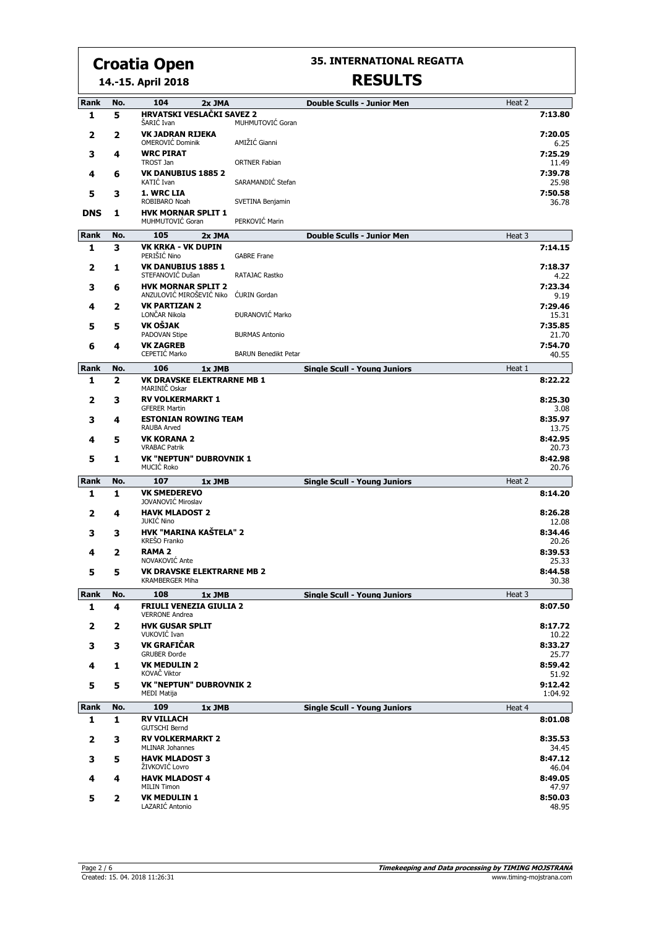#### **14.-15. April 2018 Croatia Open**

**35. INTERNATIONAL REGATTA**

| Rank         | No.      | 104<br>2x JMA                                               |                             | <b>Double Sculls - Junior Men</b>   | Heat 2 |                  |
|--------------|----------|-------------------------------------------------------------|-----------------------------|-------------------------------------|--------|------------------|
| 1            | 5        | <b>HRVATSKI VESLAČKI SAVEZ 2</b><br>ŠARIĆ Ivan              | MUHMUTOVIĆ Goran            |                                     |        | 7:13.80          |
| 2            | 2        | <b>VK JADRAN RIJEKA</b><br>OMEROVIĆ Dominik                 | AMIŽIĆ Gianni               |                                     |        | 7:20.05<br>6.25  |
| 3            | 4        | <b>WRC PIRAT</b><br>TROST Jan                               | <b>ORTNER Fabian</b>        |                                     |        | 7:25.29<br>11.49 |
| 4            | 6        | <b>VK DANUBIUS 1885 2</b>                                   |                             |                                     |        | 7:39.78          |
| 5            | з        | KATIĆ Ivan<br>1. WRC LIA                                    | SARAMANDIĆ Stefan           |                                     |        | 25.98<br>7:50.58 |
|              |          | ROBIBARO Noah<br><b>HVK MORNAR SPLIT 1</b>                  | SVETINA Benjamin            |                                     |        | 36.78            |
| <b>DNS</b>   | 1        | MUHMUTOVIĆ Goran                                            | PERKOVIĆ Marin              |                                     |        |                  |
| Rank         | No.      | 105<br>2x JMA                                               |                             | <b>Double Sculls - Junior Men</b>   | Heat 3 |                  |
| 1            | 3        | <b>VK KRKA - VK DUPIN</b><br>PERIŠIĆ Nino                   | <b>GABRE Frane</b>          |                                     |        | 7:14.15          |
| 2            | 1        | <b>VK DANUBIUS 1885 1</b><br>STEFANOVIĆ Dušan               | RATAJAC Rastko              |                                     |        | 7:18.37<br>4.22  |
| 3            | 6        | <b>HVK MORNAR SPLIT 2</b><br>ANZULOVIĆ MIROŠEVIĆ Niko       | <b>CURIN Gordan</b>         |                                     |        | 7:23.34<br>9.19  |
| 4            | 2        | <b>VK PARTIZAN 2</b><br>LONČAR Nikola                       | ĐURANOVIĆ Marko             |                                     |        | 7:29.46          |
| 5            | 5        | VK OŠJAK                                                    |                             |                                     |        | 15.31<br>7:35.85 |
|              |          | PADOVAN Stipe                                               | <b>BURMAS Antonio</b>       |                                     |        | 21.70            |
| 6            | 4        | <b>VK ZAGREB</b><br>CEPETIĆ Marko                           | <b>BARUN Benedikt Petar</b> |                                     |        | 7:54.70<br>40.55 |
| Rank         | No.      | 106<br>1x JMB                                               |                             | <b>Single Scull - Young Juniors</b> | Heat 1 |                  |
| 1            | 2        | <b>VK DRAVSKE ELEKTRARNE MB 1</b><br>MARINIČ Oskar          |                             |                                     |        | 8:22.22          |
| 2            | з        | <b>RV VOLKERMARKT 1</b><br><b>GFERER Martin</b>             |                             |                                     |        | 8:25.30<br>3.08  |
| 3            | 4        | <b>ESTONIAN ROWING TEAM</b><br><b>RAUBA Arved</b>           |                             |                                     |        | 8:35.97          |
| 4            | 5        | <b>VK KORANA 2</b>                                          |                             |                                     |        | 13.75<br>8:42.95 |
| 5            | 1        | <b>VRABAC Patrik</b><br><b>VK "NEPTUN" DUBROVNIK 1</b>      |                             |                                     |        | 20.73<br>8:42.98 |
|              |          | MUCIĆ Roko                                                  |                             |                                     |        | 20.76            |
| Rank         | No.      | 107<br>1x JMB                                               |                             | <b>Single Scull - Young Juniors</b> | Heat 2 |                  |
| 1            | 1        | <b>VK SMEDEREVO</b><br>JOVANOVIĆ Miroslav                   |                             |                                     |        | 8:14.20          |
| 2            | 4        | <b>HAVK MLADOST 2</b><br><b>JUKIĆ Nino</b>                  |                             |                                     |        | 8:26.28          |
| 3            | з        | HVK "MARINA KAŠTELA" 2                                      |                             |                                     |        | 12.08<br>8:34.46 |
| 4            | 2        | KREŠO Franko<br><b>RAMA 2</b>                               |                             |                                     |        | 20.26<br>8:39.53 |
|              |          | NOVAKOVIĆ Ante                                              |                             |                                     |        | 25.33            |
| 5            | 5        | <b>VK DRAVSKE ELEKTRARNE MB 2</b><br><b>KRAMBERGER Miha</b> |                             |                                     |        | 8:44.58<br>30.38 |
| Rank         | No.      | 108<br>1x JMB                                               |                             | <b>Single Scull - Young Juniors</b> | Heat 3 |                  |
| 1            | 4        | <b>FRIULI VENEZIA GIULIA 2</b><br><b>VERRONE Andrea</b>     |                             |                                     |        | 8:07.50          |
| 2            | 2        | <b>HVK GUSAR SPLIT</b><br>VUKOVIĆ Ivan                      |                             |                                     |        | 8:17.72<br>10.22 |
| 3            | 3        | VK GRAFIČAR<br><b>GRUBER Đorđe</b>                          |                             |                                     |        | 8:33.27<br>25.77 |
| 4            | 1        | <b>VK MEDULIN 2</b><br>KOVAČ Viktor                         |                             |                                     |        | 8:59.42          |
| 5            | 5        | <b>VK "NEPTUN" DUBROVNIK 2</b>                              |                             |                                     |        | 51.92<br>9:12.42 |
|              |          | <b>MEDI Matija</b>                                          |                             |                                     |        | 1:04.92          |
| Rank<br>1    | No.<br>1 | 109<br>1x JMB<br><b>RV VILLACH</b>                          |                             | <b>Single Scull - Young Juniors</b> | Heat 4 | 8:01.08          |
|              |          | <b>GUTSCHI Bernd</b>                                        |                             |                                     |        |                  |
| $\mathbf{2}$ | 3        | <b>RV VOLKERMARKT 2</b><br><b>MLINAR Johannes</b>           |                             |                                     |        | 8:35.53<br>34.45 |
| з            | 5        | <b>HAVK MLADOST 3</b><br>ŽIVKOVIĆ Lovro                     |                             |                                     |        | 8:47.12<br>46.04 |
| 4            | 4        | <b>HAVK MLADOST 4</b><br><b>MILIN Timon</b>                 |                             |                                     |        | 8:49.05<br>47.97 |
| 5            | 2        | <b>VK MEDULIN 1</b><br>LAZARIĆ Antonio                      |                             |                                     |        | 8:50.03<br>48.95 |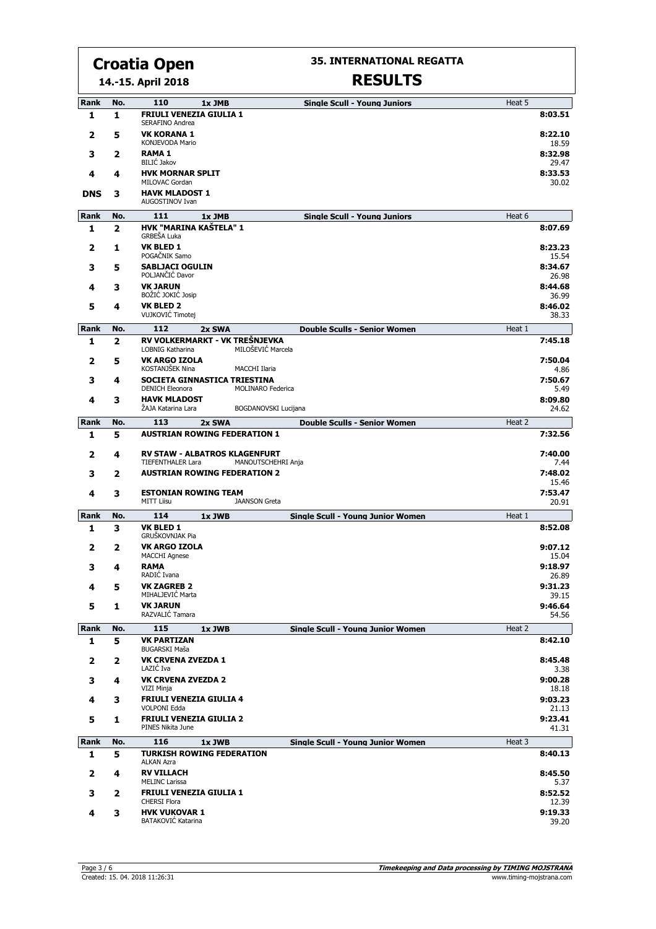**14.-15. April 2018**

#### **35. INTERNATIONAL REGATTA**

| Rank             | No.      | 110<br>1x JMB<br><b>Single Scull - Young Juniors</b>                                  | Heat 5 |                           |
|------------------|----------|---------------------------------------------------------------------------------------|--------|---------------------------|
| 1                | 1        | <b>FRIULI VENEZIA GIULIA 1</b><br>SERAFINO Andrea                                     |        | 8:03.51                   |
| 2                | 5        | <b>VK KORANA 1</b><br>KONJEVODA Mario                                                 |        | 8:22.10<br>18.59          |
| 3                | 2        | <b>RAMA1</b><br><b>BILIĆ Jakov</b>                                                    |        | 8:32.98<br>29.47          |
| 4                | 4        | <b>HVK MORNAR SPLIT</b><br>MILOVAC Gordan                                             |        | 8:33.53<br>30.02          |
| <b>DNS</b>       | з        | <b>HAVK MLADOST 1</b><br>AUGOSTINOV Ivan                                              |        |                           |
| <b>Rank</b>      | No.      | 111<br><b>Single Scull - Young Juniors</b><br>1x JMB                                  | Heat 6 |                           |
| 1                | 2        | HVK "MARINA KAŠTELA" 1<br>GRBEŠA Luka                                                 |        | 8:07.69                   |
| 2                | 1        | <b>VK BLED 1</b><br>POGAČNIK Samo                                                     |        | 8:23.23<br>15.54          |
| 3                | 5        | <b>SABLJACI OGULIN</b><br>POLJANČIĆ Davor                                             |        | 8:34.67<br>26.98          |
| 4                | 3        | <b>VK JARUN</b><br>BOŽIĆ JOKIĆ Josip                                                  |        | 8:44.68                   |
| 5                | 4        | <b>VK BLED 2</b><br>VUJKOVIĆ Timotej                                                  |        | 36.99<br>8:46.02<br>38.33 |
| Rank             | No.      | 112<br><b>Double Sculls - Senior Women</b><br>2x SWA                                  | Heat 1 |                           |
| 1                | 2        | RV VOLKERMARKT - VK TREŠNJEVKA<br>MILOŠEVIĆ Marcela<br>LOBNIG Katharina               |        | 7:45.18                   |
| 2                | 5        | <b>VK ARGO IZOLA</b><br>KOSTANJŠEK Nina<br>MACCHI Ilaria                              |        | 7:50.04<br>4.86           |
| 3                | 4        | SOCIETA GINNASTICA TRIESTINA<br><b>DENICH Eleonora</b><br><b>MOLINARO Federica</b>    |        | 7:50.67<br>5.49           |
| 4                | 3        | <b>HAVK MLADOST</b><br>ŽAJA Katarina Lara<br>BOGDANOVSKI Lucijana                     |        | 8:09.80<br>24.62          |
| Rank             | No.      | 113<br>2x SWA<br><b>Double Sculls - Senior Women</b>                                  | Heat 2 |                           |
| 1                | 5        | <b>AUSTRIAN ROWING FEDERATION 1</b>                                                   |        | 7:32.56                   |
| 2                | 4        | RV STAW - ALBATROS KLAGENFURT                                                         |        | 7:40.00                   |
| 3                | 2        | <b>TIEFENTHALER Lara</b><br>MANOUTSCHEHRI Anja<br><b>AUSTRIAN ROWING FEDERATION 2</b> |        | 7.44<br>7:48.02           |
| 4                | 3        | <b>ESTONIAN ROWING TEAM</b>                                                           |        | 15.46<br>7:53.47          |
|                  |          | <b>MITT Liisu</b><br><b>JAANSON Greta</b>                                             |        | 20.91                     |
| <b>Rank</b><br>1 | No.<br>з | 114<br><b>Single Scull - Young Junior Women</b><br>1x JWB<br><b>VK BLED 1</b>         | Heat 1 | 8:52.08                   |
|                  |          | GRUŠKOVNJAK Pia<br><b>VK ARGO IZOLA</b>                                               |        | 9:07.12                   |
| 2                | 2        | <b>MACCHI Agnese</b>                                                                  |        | 15.04                     |
| 3                | 4        | <b>RAMA</b><br>RADIĆ Ivana                                                            |        | 9:18.97<br>26.89          |
| 4                | 5        | <b>VK ZAGREB 2</b>                                                                    |        | 9:31.23                   |
|                  |          | MIHALJEVIĆ Marta                                                                      |        | 39.15                     |
| 5                | 1        | <b>VK JARUN</b><br>RAZVALIĆ Tamara                                                    |        | 9:46.64<br>54.56          |
| Rank             | No.      | 115<br><b>Single Scull - Young Junior Women</b><br>1x JWB                             | Heat 2 |                           |
| 1                | 5        | <b>VK PARTIZAN</b><br><b>BUGARSKI Maša</b>                                            |        | 8:42.10                   |
| 2                | 2        | <b>VK CRVENA ZVEZDA 1</b><br>LAZIC Iva                                                |        | 8:45.48<br>3.38           |
| з                | 4        | <b>VK CRVENA ZVEZDA 2</b><br>VIZI Minja                                               |        | 9:00.28<br>18.18          |
| 4                | 3        | <b>FRIULI VENEZIA GIULIA 4</b><br><b>VOLPONI Edda</b>                                 |        | 9:03.23<br>21.13          |
| 5                | 1        | <b>FRIULI VENEZIA GIULIA 2</b><br>PINES Nikita June                                   |        | 9:23.41<br>41.31          |
| Rank             | No.      | 116<br><b>Single Scull - Young Junior Women</b><br>1x JWB                             | Heat 3 |                           |
| 1                | 5        | <b>TURKISH ROWING FEDERATION</b><br><b>ALKAN Azra</b>                                 |        | 8:40.13                   |
| 2                | 4        | <b>RV VILLACH</b><br><b>MELINC Larissa</b>                                            |        | 8:45.50<br>5.37           |
| 3                | 2        | <b>FRIULI VENEZIA GIULIA 1</b><br><b>CHERSI Flora</b>                                 |        | 8:52.52<br>12.39          |
| 4                | 3        | <b>HVK VUKOVAR 1</b><br>BATAKOVIĆ Katarina                                            |        | 9:19.33<br>39.20          |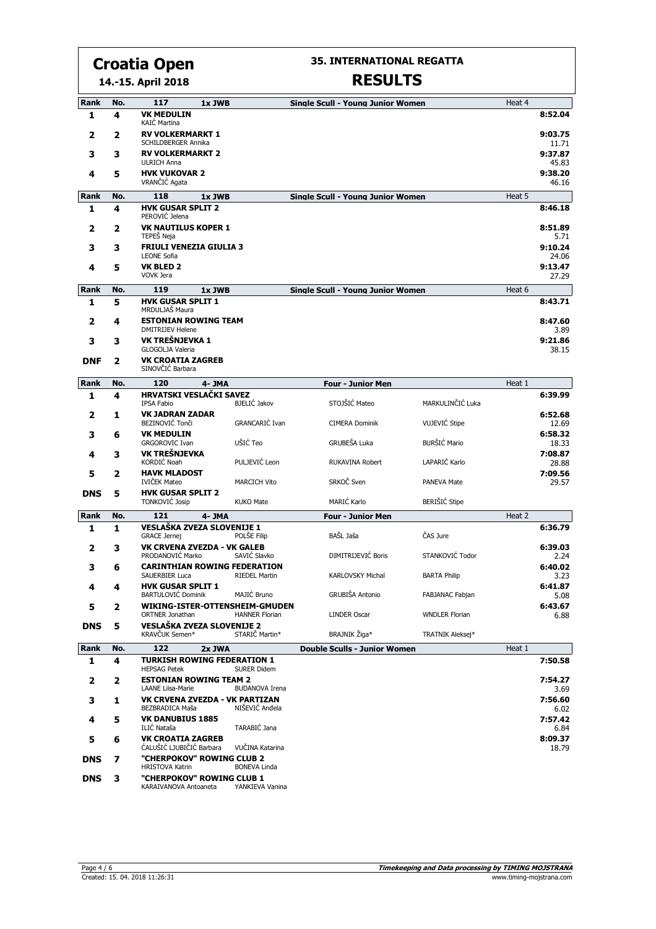**14.-15. April 2018**

#### **35. INTERNATIONAL REGATTA**

| Rank       | No. | 117                                                          | 1x JWB |                       | <b>Single Scull - Young Junior Women</b> |                       | Heat 4 |                  |
|------------|-----|--------------------------------------------------------------|--------|-----------------------|------------------------------------------|-----------------------|--------|------------------|
| 1          | 4   | <b>VK MEDULIN</b><br><b>KAIĆ Martina</b>                     |        |                       |                                          |                       |        | 8:52.04          |
| 2          | 2   | <b>RV VOLKERMARKT 1</b><br>SCHILDBERGER Annika               |        |                       |                                          |                       |        | 9:03.75<br>11.71 |
| 3          | 3   | <b>RV VOLKERMARKT 2</b><br><b>ULRICH Anna</b>                |        |                       |                                          |                       |        | 9:37.87<br>45.83 |
| 4          | 5   | <b>HVK VUKOVAR 2</b><br>VRANČIĆ Agata                        |        |                       |                                          |                       |        | 9:38.20<br>46.16 |
| Rank       | No. | 118                                                          | 1x JWB |                       | <b>Single Scull - Young Junior Women</b> |                       | Heat 5 |                  |
| 1          | 4   | <b>HVK GUSAR SPLIT 2</b><br>PEROVIĆ Jelena                   |        |                       |                                          |                       |        | 8:46.18          |
| 2          | 2   | <b>VK NAUTILUS KOPER 1</b><br>TEPES Neja                     |        |                       |                                          |                       |        | 8:51.89<br>5.71  |
| 3          | з   | <b>FRIULI VENEZIA GIULIA 3</b><br><b>LEONE Sofia</b>         |        |                       |                                          |                       |        | 9:10.24<br>24.06 |
| 4          | 5   | <b>VK BLED 2</b><br>VOVK Jera                                |        |                       |                                          |                       |        | 9:13.47<br>27.29 |
| Rank       | No. | 119                                                          | 1x JWB |                       | <b>Single Scull - Young Junior Women</b> |                       | Heat 6 |                  |
| 1          | 5   | <b>HVK GUSAR SPLIT 1</b><br>MRDULJAŠ Maura                   |        |                       |                                          |                       |        | 8:43.71          |
| 2          | 4   | <b>ESTONIAN ROWING TEAM</b><br><b>DMITRIJEV Helene</b>       |        |                       |                                          |                       |        | 8:47.60<br>3.89  |
| 3          | 3   | VK TREŠNJEVKA 1<br><b>GLOGOLJA Valeria</b>                   |        |                       |                                          |                       |        | 9:21.86<br>38.15 |
| <b>DNF</b> | 2   | <b>VK CROATIA ZAGREB</b><br>SINOVČIĆ Barbara                 |        |                       |                                          |                       |        |                  |
| Rank       | No. | 120                                                          | 4- JMA |                       | <b>Four - Junior Men</b>                 |                       | Heat 1 |                  |
| 1          | 4   | HRVATSKI VESLAČKI SAVEZ<br><b>IPSA Fabio</b>                 |        | <b>BJELIĆ Jakov</b>   | STOJŠIĆ Mateo                            | MARKULINČIĆ Luka      |        | 6:39.99          |
| 2          | 1   | <b>VK JADRAN ZADAR</b><br>BEZINOVIĆ Tonči                    |        | GRANCARIĆ Ivan        | <b>CIMERA Dominik</b>                    | VUJEVIĆ Stipe         |        | 6:52.68<br>12.69 |
| з          | 6   | <b>VK MEDULIN</b>                                            |        |                       |                                          |                       |        | 6:58.32          |
| 4          | 3   | <b>GRGOROVIC Ivan</b><br>VK TREŠNJEVKA                       |        | UŠIĆ Teo              | GRUBEŠA Luka                             | <b>BURŠIĆ Mario</b>   |        | 18.33<br>7:08.87 |
| 5          | 2   | <b>KORDIĆ Noah</b><br><b>HAVK MLADOST</b>                    |        | PULJEVIĆ Leon         | RUKAVINA Robert                          | LAPARIĆ Karlo         |        | 28.88<br>7:09.56 |
|            |     | <b>IVIČEK Mateo</b>                                          |        | <b>MARCICH Vito</b>   | SRKOČ Sven                               | <b>PANEVA Mate</b>    |        | 29.57            |
| <b>DNS</b> | 5   | <b>HVK GUSAR SPLIT 2</b><br><b>TONKOVIĆ Josip</b>            |        | <b>KUKO Mate</b>      | MARIĆ Karlo                              | <b>BERIŠIĆ Stipe</b>  |        |                  |
| Rank       | No. | 121                                                          | 4- JMA |                       | <b>Four - Junior Men</b>                 |                       | Heat 2 |                  |
| 1          | 1   | VESLAŠKA ZVEZA SLOVENIJE 1<br><b>GRACE Jernej</b>            |        | POLŠE Filip           | BAŠL Jaša                                | ČAS Jure              |        | 6:36.79          |
| 2          | 3   | VK CRVENA ZVEZDA - VK GALEB<br>PRODANOVIĆ Marko              |        | SAVIC Slavko          | DIMITRIJEVIĆ Boris                       | STANKOVIĆ Todor       |        | 6:39.03<br>2.24  |
| з          | 6   | <b>CARINTHIAN ROWING FEDERATION</b><br><b>SAUERBIER Luca</b> |        | <b>RIEDEL Martin</b>  | KARLOVSKY Michal                         | <b>BARTA Philip</b>   |        | 6:40.02<br>3.23  |
|            |     | <b>HVK GUSAR SPLIT 1</b><br><b>BARTULOVIC Dominik</b>        |        | MAJIĆ Bruno           | GRUBIŠA Antonio                          | FABJANAC Fabjan       |        | 6:41.87<br>5.08  |
| 5          | 2   | WIKING-ISTER-OTTENSHEIM-GMUDEN<br>ORTNER Jonathan            |        | <b>HANNER Florian</b> | <b>LINDER Oscar</b>                      | <b>WNDLER Florian</b> |        | 6:43.67<br>6.88  |
| <b>DNS</b> | 5   | VESLAŠKA ZVEZA SLOVENIJE 2<br>KRAVČUK Semen*                 |        | STARIČ Martin*        | BRAJNIK Žiga*                            | TRATNIK Aleksej*      |        |                  |
| Rank       | No. | 122                                                          | 2x JWA |                       | <b>Double Sculls - Junior Women</b>      |                       | Heat 1 |                  |
| 1          | 4   | <b>TURKISH ROWING FEDERATION 1</b>                           |        |                       |                                          |                       |        | 7:50.58          |
| 2          | 2   | <b>HEPSAG Petek</b><br><b>ESTONIAN ROWING TEAM 2</b>         |        | <b>SURER Didem</b>    |                                          |                       |        | 7:54.27          |
| 3          | 1   | <b>LAANE Liisa-Marie</b><br>VK CRVENA ZVEZDA - VK PARTIZAN   |        | <b>BUDANOVA Irena</b> |                                          |                       |        | 3.69<br>7:56.60  |
| 4          | 5   | BEZBRADICA Maša<br><b>VK DANUBIUS 1885</b>                   |        | NIŠEVIĆ Anđela        |                                          |                       |        | 6.02<br>7:57.42  |
| 5          | 6   | ILIĆ Nataša<br><b>VK CROATIA ZAGREB</b>                      |        | TARABIĆ Jana          |                                          |                       |        | 6.84<br>8:09.37  |
| <b>DNS</b> | 7   | ĆALUŠIĆ LJUBIČIĆ Barbara<br>"CHERPOKOV" ROWING CLUB 2        |        | VUČINA Katarina       |                                          |                       |        | 18.79            |
| <b>DNS</b> | 3   | <b>HRISTOVA Katrin</b><br>"CHERPOKOV" ROWING CLUB 1          |        | <b>BONEVA Linda</b>   |                                          |                       |        |                  |
|            |     | KARAIVANOVA Antoaneta                                        |        | YANKIEVA Vanina       |                                          |                       |        |                  |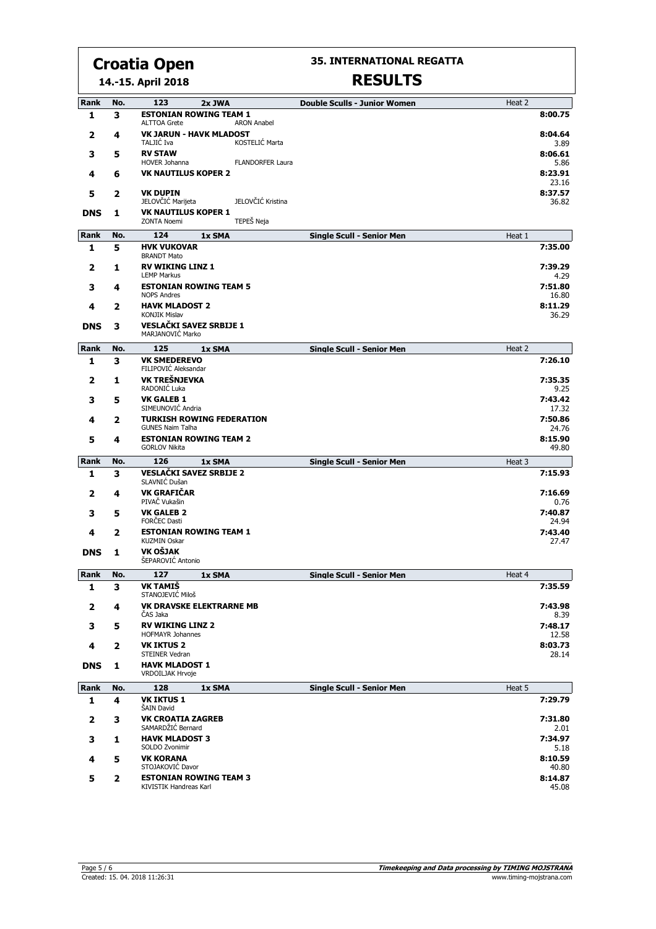**14.-15. April 2018**

#### **35. INTERNATIONAL REGATTA**

| Rank         | No.          | 123<br>2x JWA                                                               | <b>Double Sculls - Junior Women</b> | Heat 2            |
|--------------|--------------|-----------------------------------------------------------------------------|-------------------------------------|-------------------|
| 1            | 3            | <b>ESTONIAN ROWING TEAM 1</b>                                               |                                     | 8:00.75           |
| 2            | 4            | <b>ALTTOA Grete</b><br><b>ARON Anabel</b><br><b>VK JARUN - HAVK MLADOST</b> |                                     | 8:04.64           |
| 3            | 5            | KOSTELIĆ Marta<br>TALJIĆ Iva<br><b>RV STAW</b>                              |                                     | 3.89<br>8:06.61   |
| 4            | 6            | HOVER Johanna<br><b>FLANDORFER Laura</b><br><b>VK NAUTILUS KOPER 2</b>      |                                     | 5.86<br>8:23.91   |
|              |              |                                                                             |                                     | 23.16             |
| 5            | 2            | <b>VK DUPIN</b><br>JELOVČIĆ Kristina<br>JELOVČIĆ Marijeta                   |                                     | 8:37.57<br>36.82  |
| <b>DNS</b>   | 1            | <b>VK NAUTILUS KOPER 1</b><br>TEPEŠ Neja<br><b>ZONTA Noemi</b>              |                                     |                   |
| Rank         | No.          | 124<br>1x SMA                                                               | <b>Single Scull - Senior Men</b>    | Heat 1            |
| 1            | 5            | <b>HVK VUKOVAR</b>                                                          |                                     | 7:35.00           |
| 2            | 1            | <b>BRANDT Mato</b><br><b>RV WIKING LINZ 1</b><br><b>LEMP Markus</b>         |                                     | 7:39.29           |
| з            | 4            | <b>ESTONIAN ROWING TEAM 5</b>                                               |                                     | 4.29<br>7:51.80   |
|              |              | <b>NOPS Andres</b><br><b>HAVK MLADOST 2</b>                                 |                                     | 16.80<br>8:11.29  |
| 4            | 2            | <b>KONJIK Mislav</b>                                                        |                                     | 36.29             |
| <b>DNS</b>   | з            | <b>VESLAČKI SAVEZ SRBIJE 1</b><br>MARJANOVIĆ Marko                          |                                     |                   |
| Rank         | No.          | 125<br>1x SMA                                                               | <b>Single Scull - Senior Men</b>    | Heat 2            |
| 1            | 3            | <b>VK SMEDEREVO</b><br>FILIPOVIĆ Aleksandar                                 |                                     | 7:26.10           |
| 2            | 1            | VK TREŠNJEVKA<br>RADONIĆ Luka                                               |                                     | 7:35.35<br>9.25   |
| з            | 5            | <b>VK GALEB 1</b><br>SIMEUNOVIĆ Andria                                      |                                     | 7:43.42<br>17.32  |
| 4            | 2            | <b>TURKISH ROWING FEDERATION</b><br><b>GUNES Naim Talha</b>                 |                                     | 7:50.86<br>24.76  |
| 5            | 4            | <b>ESTONIAN ROWING TEAM 2</b><br><b>GORLOV Nikita</b>                       |                                     | 8:15.90<br>49.80  |
| Rank         | No.          | 126<br>1x SMA                                                               | <b>Single Scull - Senior Men</b>    | Heat 3            |
| $\mathbf{1}$ | 3            | <b>VESLAČKI SAVEZ SRBIJE 2</b><br>SLAVNIĆ Dušan                             |                                     | 7:15.93           |
| 2            | 4            | <b>VK GRAFIČAR</b><br>PIVAČ Vukašin                                         |                                     | 7:16.69<br>0.76   |
| з            | 5            | <b>VK GALEB 2</b><br><b>FORČEC Dasti</b>                                    |                                     | 7:40.87<br>24.94  |
| 4            | 2            | <b>ESTONIAN ROWING TEAM 1</b><br><b>KUZMIN Oskar</b>                        |                                     | 7:43.40<br>27.47  |
| <b>DNS</b>   | 1            | VK OŠJAK                                                                    |                                     |                   |
| Rank         |              | ŠEPAROVIĆ Antonio                                                           |                                     |                   |
| 1            | No.<br>3     | 127<br>1x SMA<br><b>VK TAMIŠ</b>                                            | <b>Single Scull - Senior Men</b>    | Heat 4<br>7:35.59 |
|              |              | STANOJEVIĆ Miloš                                                            |                                     |                   |
| 2            | 4            | <b>VK DRAVSKE ELEKTRARNE MB</b><br>ČAS Jaka                                 |                                     | 7:43.98<br>8.39   |
| 3            | 5            | <b>RV WIKING LINZ 2</b><br><b>HOFMAYR Johannes</b>                          |                                     | 7:48.17<br>12.58  |
| 4            | 2            | <b>VK IKTUS 2</b><br>STEINER Vedran                                         |                                     | 8:03.73<br>28.14  |
| <b>DNS</b>   | 1            | <b>HAVK MLADOST 1</b><br>VRDOILJAK Hrvoje                                   |                                     |                   |
| Rank         | No.          | 128<br>1x SMA                                                               | <b>Single Scull - Senior Men</b>    | Heat 5            |
| 1            | 4            | <b>VK IKTUS 1</b><br>ŠAIN David                                             |                                     | 7:29.79           |
| 2            | 3            | <b>VK CROATIA ZAGREB</b><br>SAMARDŽIĆ Bernard                               |                                     | 7:31.80<br>2.01   |
| 3            | 1            | <b>HAVK MLADOST 3</b><br>SOLDO Zvonimir                                     |                                     | 7:34.97<br>5.18   |
| 4            | 5            | <b>VK KORANA</b>                                                            |                                     | 8:10.59           |
| 5            | $\mathbf{2}$ | STOJAKOVIĆ Davor<br><b>ESTONIAN ROWING TEAM 3</b>                           |                                     | 40.80<br>8:14.87  |
|              |              | KIVISTIK Handreas Karl                                                      |                                     | 45.08             |